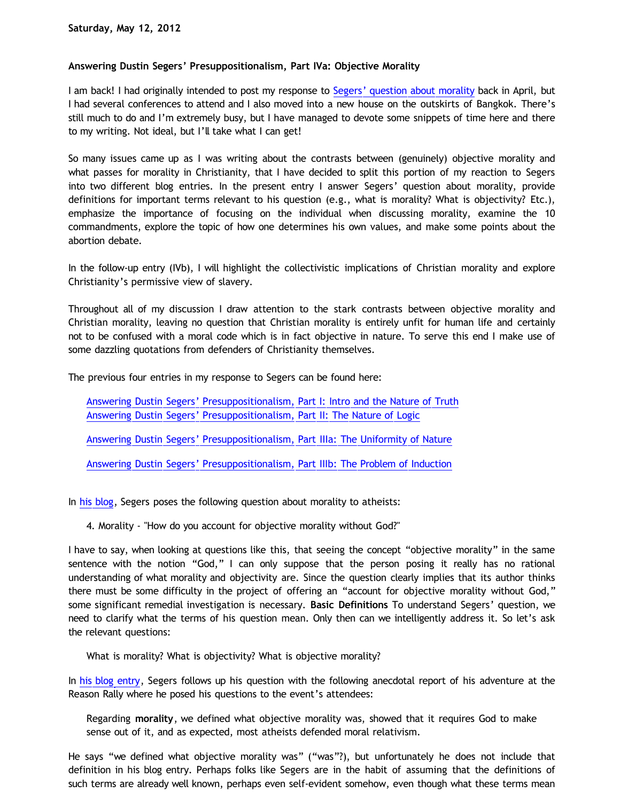# **Answering Dustin Segers' Presuppositionalism, Part IVa: Objective Morality**

I am back! I had originally intended to post my response to [Segers' question about morality](http://www.blogger.com/href=http://graceinthetriad.blogspot.com/2012/03/outreach-report-reason-rally-2012.html) back in April, but I had several conferences to attend and I also moved into a new house on the outskirts of Bangkok. There's still much to do and I'm extremely busy, but I have managed to devote some snippets of time here and there to my writing. Not ideal, but I'll take what I can get!

So many issues came up as I was writing about the contrasts between (genuinely) objective morality and what passes for morality in Christianity, that I have decided to split this portion of my reaction to Segers into two different blog entries. In the present entry I answer Segers' question about morality, provide definitions for important terms relevant to his question (e.g., what is morality? What is objectivity? Etc.), emphasize the importance of focusing on the individual when discussing morality, examine the 10 commandments, explore the topic of how one determines his own values, and make some points about the abortion debate.

In the follow-up entry (IVb), I will highlight the collectivistic implications of Christian morality and explore Christianity's permissive view of slavery.

Throughout all of my discussion I draw attention to the stark contrasts between objective morality and Christian morality, leaving no question that Christian morality is entirely unfit for human life and certainly not to be confused with a moral code which is in fact objective in nature. To serve this end I make use of some dazzling quotations from defenders of Christianity themselves.

The previous four entries in my response to Segers can be found here:

[Answering Dustin Segers' Presuppositionalism, Part I: Intro and the Nature of Truth](http://bahnsenburner.blogspot.com/2012/04/answering-dustin-segers.html) [Answering Dustin Segers' Presuppositionalism, Part II: The Nature of Logic](http://bahnsenburner.blogspot.com/2012/04/answering-dustin-segers_08.html)

[Answering Dustin Segers' Presuppositionalism, Part IIIa: The Uniformity of Nature](http://bahnsenburner.blogspot.com/2012/04/answering-dustin-segers_12.html)

[Answering Dustin Segers' Presuppositionalism, Part IIIb: The Problem of Induction](http://bahnsenburner.blogspot.com/2012/04/answering-dustin-segers_15.html)

In [his blog](http://www.blogger.com/href=http://graceinthetriad.blogspot.com/2012/03/outreach-report-reason-rally-2012.html), Segers poses the following question about morality to atheists:

4. Morality - "How do you account for objective morality without God?"

I have to say, when looking at questions like this, that seeing the concept "objective morality" in the same sentence with the notion "God," I can only suppose that the person posing it really has no rational understanding of what morality and objectivity are. Since the question clearly implies that its author thinks there must be some difficulty in the project of offering an "account for objective morality without God," some significant remedial investigation is necessary. **Basic Definitions** To understand Segers' question, we need to clarify what the terms of his question mean. Only then can we intelligently address it. So let's ask the relevant questions:

What is morality? What is objectivity? What is objective morality?

In [his blog entry,](http://graceinthetriad.blogspot.com/2012/03/outreach-report-reason-rally-2012.html) Segers follows up his question with the following anecdotal report of his adventure at the Reason Rally where he posed his questions to the event's attendees:

Regarding **morality**, we defined what objective morality was, showed that it requires God to make sense out of it, and as expected, most atheists defended moral relativism.

He says "we defined what objective morality was" ("was"?), but unfortunately he does not include that definition in his blog entry. Perhaps folks like Segers are in the habit of assuming that the definitions of such terms are already well known, perhaps even self-evident somehow, even though what these terms mean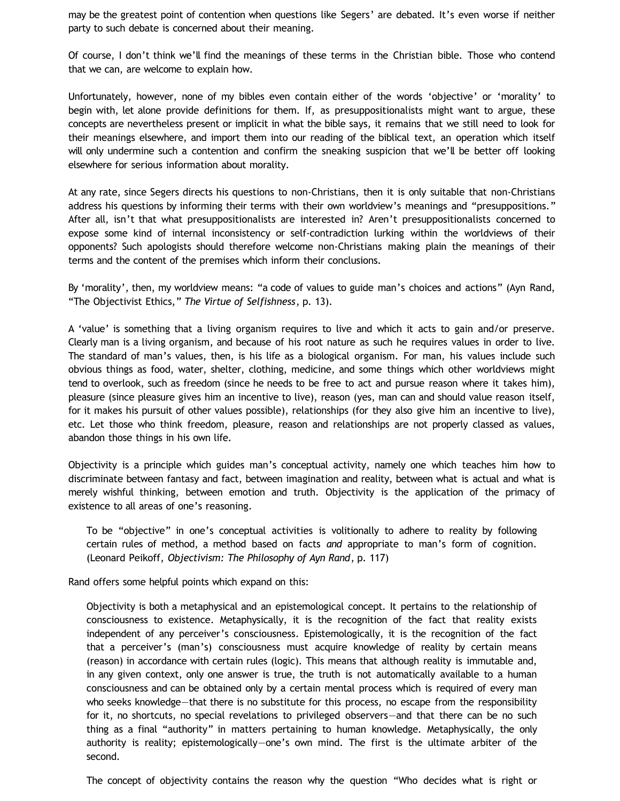may be the greatest point of contention when questions like Segers' are debated. It's even worse if neither party to such debate is concerned about their meaning.

Of course, I don't think we'll find the meanings of these terms in the Christian bible. Those who contend that we can, are welcome to explain how.

Unfortunately, however, none of my bibles even contain either of the words 'objective' or 'morality' to begin with, let alone provide definitions for them. If, as presuppositionalists might want to argue, these concepts are nevertheless present or implicit in what the bible says, it remains that we still need to look for their meanings elsewhere, and import them into our reading of the biblical text, an operation which itself will only undermine such a contention and confirm the sneaking suspicion that we'll be better off looking elsewhere for serious information about morality.

At any rate, since Segers directs his questions to non-Christians, then it is only suitable that non-Christians address his questions by informing their terms with their own worldview's meanings and "presuppositions." After all, isn't that what presuppositionalists are interested in? Aren't presuppositionalists concerned to expose some kind of internal inconsistency or self-contradiction lurking within the worldviews of their opponents? Such apologists should therefore welcome non-Christians making plain the meanings of their terms and the content of the premises which inform their conclusions.

By 'morality', then, my worldview means: "a code of values to guide man's choices and actions" (Ayn Rand, "The Objectivist Ethics," *The Virtue of Selfishness*, p. 13).

A 'value' is something that a living organism requires to live and which it acts to gain and/or preserve. Clearly man is a living organism, and because of his root nature as such he requires values in order to live. The standard of man's values, then, is his life as a biological organism. For man, his values include such obvious things as food, water, shelter, clothing, medicine, and some things which other worldviews might tend to overlook, such as freedom (since he needs to be free to act and pursue reason where it takes him), pleasure (since pleasure gives him an incentive to live), reason (yes, man can and should value reason itself, for it makes his pursuit of other values possible), relationships (for they also give him an incentive to live), etc. Let those who think freedom, pleasure, reason and relationships are not properly classed as values, abandon those things in his own life.

Objectivity is a principle which guides man's conceptual activity, namely one which teaches him how to discriminate between fantasy and fact, between imagination and reality, between what is actual and what is merely wishful thinking, between emotion and truth. Objectivity is the application of the primacy of existence to all areas of one's reasoning.

To be "objective" in one's conceptual activities is volitionally to adhere to reality by following certain rules of method, a method based on facts *and* appropriate to man's form of cognition. (Leonard Peikoff, *Objectivism: The Philosophy of Ayn Rand*, p. 117)

Rand offers some helpful points which expand on this:

Objectivity is both a metaphysical and an epistemological concept. It pertains to the relationship of consciousness to existence. Metaphysically, it is the recognition of the fact that reality exists independent of any perceiver's consciousness. Epistemologically, it is the recognition of the fact that a perceiver's (man's) consciousness must acquire knowledge of reality by certain means (reason) in accordance with certain rules (logic). This means that although reality is immutable and, in any given context, only one answer is true, the truth is not automatically available to a human consciousness and can be obtained only by a certain mental process which is required of every man who seeks knowledge—that there is no substitute for this process, no escape from the responsibility for it, no shortcuts, no special revelations to privileged observers—and that there can be no such thing as a final "authority" in matters pertaining to human knowledge. Metaphysically, the only authority is reality; epistemologically—one's own mind. The first is the ultimate arbiter of the second.

The concept of objectivity contains the reason why the question "Who decides what is right or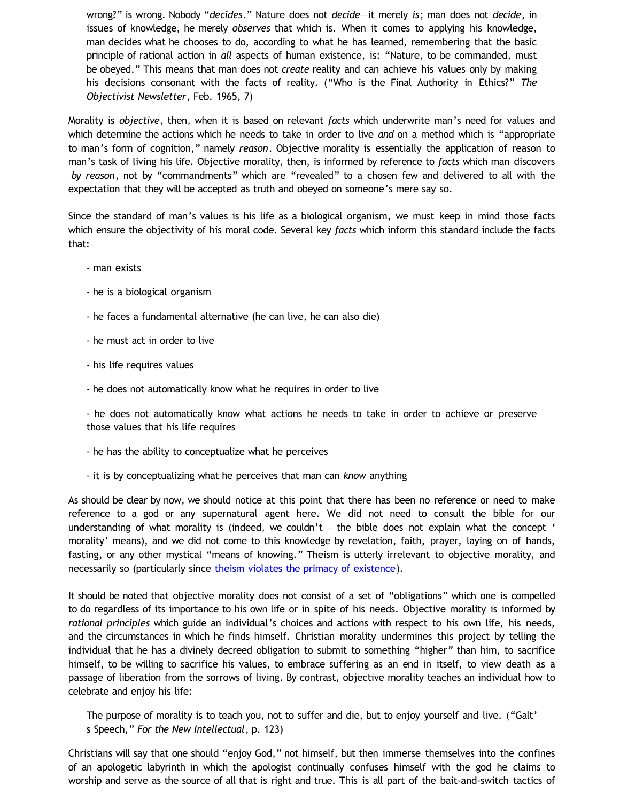wrong?" is wrong. Nobody "*decides*." Nature does not *decide*—it merely *is*; man does not *decide*, in issues of knowledge, he merely *observes* that which is. When it comes to applying his knowledge, man decides what he chooses to do, according to what he has learned, remembering that the basic principle of rational action in *all* aspects of human existence, is: "Nature, to be commanded, must be obeyed." This means that man does not *create* reality and can achieve his values only by making his decisions consonant with the facts of reality. ("Who is the Final Authority in Ethics?" *The Objectivist Newsletter*, Feb. 1965, 7)

Morality is *objective*, then, when it is based on relevant *facts* which underwrite man's need for values and which determine the actions which he needs to take in order to live *and* on a method which is "appropriate to man's form of cognition," namely *reason*. Objective morality is essentially the application of reason to man's task of living his life. Objective morality, then, is informed by reference to *facts* which man discovers *by reason*, not by "commandments" which are "revealed" to a chosen few and delivered to all with the expectation that they will be accepted as truth and obeyed on someone's mere say so.

Since the standard of man's values is his life as a biological organism, we must keep in mind those facts which ensure the objectivity of his moral code. Several key *facts* which inform this standard include the facts that:

- man exists
- he is a biological organism
- he faces a fundamental alternative (he can live, he can also die)
- he must act in order to live
- his life requires values
- he does not automatically know what he requires in order to live

- he does not automatically know what actions he needs to take in order to achieve or preserve those values that his life requires

- he has the ability to conceptualize what he perceives
- it is by conceptualizing what he perceives that man can *know* anything

As should be clear by now, we should notice at this point that there has been no reference or need to make reference to a god or any supernatural agent here. We did not need to consult the bible for our understanding of what morality is (indeed, we couldn't – the bible does not explain what the concept ' morality' means), and we did not come to this knowledge by revelation, faith, prayer, laying on of hands, fasting, or any other mystical "means of knowing." Theism is utterly irrelevant to objective morality, and necessarily so (particularly since [theism violates the primacy of existence\)](http://bahnsenburner.blogspot.com/2010/02/how-theism-violates-primacy-of.html).

It should be noted that objective morality does not consist of a set of "obligations" which one is compelled to do regardless of its importance to his own life or in spite of his needs. Objective morality is informed by *rational principles* which guide an individual's choices and actions with respect to his own life, his needs, and the circumstances in which he finds himself. Christian morality undermines this project by telling the individual that he has a divinely decreed obligation to submit to something "higher" than him, to sacrifice himself, to be willing to sacrifice his values, to embrace suffering as an end in itself, to view death as a passage of liberation from the sorrows of living. By contrast, objective morality teaches an individual how to celebrate and enjoy his life:

The purpose of morality is to teach you, not to suffer and die, but to enjoy yourself and live. ("Galt' s Speech," *For the New Intellectual*, p. 123)

Christians will say that one should "enjoy God," not himself, but then immerse themselves into the confines of an apologetic labyrinth in which the apologist continually confuses himself with the god he claims to worship and serve as the source of all that is right and true. This is all part of the bait-and-switch tactics of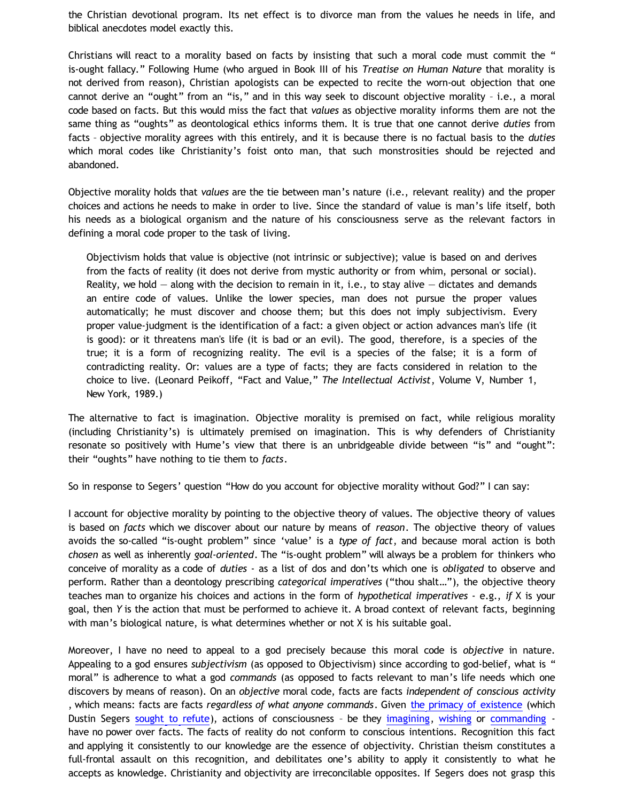the Christian devotional program. Its net effect is to divorce man from the values he needs in life, and biblical anecdotes model exactly this.

Christians will react to a morality based on facts by insisting that such a moral code must commit the " is-ought fallacy." Following Hume (who argued in Book III of his *Treatise on Human Nature* that morality is not derived from reason), Christian apologists can be expected to recite the worn-out objection that one cannot derive an "ought" from an "is," and in this way seek to discount objective morality – i.e., a moral code based on facts. But this would miss the fact that *values* as objective morality informs them are not the same thing as "oughts" as deontological ethics informs them. It is true that one cannot derive *duties* from facts – objective morality agrees with this entirely, and it is because there is no factual basis to the *duties* which moral codes like Christianity's foist onto man, that such monstrosities should be rejected and abandoned.

Objective morality holds that *values* are the tie between man's nature (i.e., relevant reality) and the proper choices and actions he needs to make in order to live. Since the standard of value is man's life itself, both his needs as a biological organism and the nature of his consciousness serve as the relevant factors in defining a moral code proper to the task of living.

Objectivism holds that value is objective (not intrinsic or subjective); value is based on and derives from the facts of reality (it does not derive from mystic authority or from whim, personal or social). Reality, we hold  $-$  along with the decision to remain in it, i.e., to stay alive  $-$  dictates and demands an entire code of values. Unlike the lower species, man does not pursue the proper values automatically; he must discover and choose them; but this does not imply subjectivism. Every proper value-judgment is the identification of a fact: a given object or action advances man's life (it is good): or it threatens man's life (it is bad or an evil). The good, therefore, is a species of the true; it is a form of recognizing reality. The evil is a species of the false; it is a form of contradicting reality. Or: values are a type of facts; they are facts considered in relation to the choice to live. (Leonard Peikoff, "Fact and Value," *The Intellectual Activist*, Volume V, Number 1, New York, 1989.)

The alternative to fact is imagination. Objective morality is premised on fact, while religious morality (including Christianity's) is ultimately premised on imagination. This is why defenders of Christianity resonate so positively with Hume's view that there is an unbridgeable divide between "is" and "ought": their "oughts" have nothing to tie them to *facts*.

So in response to Segers' question "How do you account for objective morality without God?" I can say:

I account for objective morality by pointing to the objective theory of values. The objective theory of values is based on *facts* which we discover about our nature by means of *reason*. The objective theory of values avoids the so-called "is-ought problem" since 'value' is a *type of fact*, and because moral action is both *chosen* as well as inherently *goal-oriented*. The "is-ought problem" will always be a problem for thinkers who conceive of morality as a code of *duties* - as a list of dos and don'ts which one is *obligated* to observe and perform. Rather than a deontology prescribing *categorical imperatives* ("thou shalt…"), the objective theory teaches man to organize his choices and actions in the form of *hypothetical imperatives* - e.g., *if* X is your goal, then *Y* is the action that must be performed to achieve it. A broad context of relevant facts, beginning with man's biological nature, is what determines whether or not X is his suitable goal.

Moreover, I have no need to appeal to a god precisely because this moral code is *objective* in nature. Appealing to a god ensures *subjectivism* (as opposed to Objectivism) since according to god-belief, what is " moral" is adherence to what a god *commands* (as opposed to facts relevant to man's life needs which one discovers by means of reason). On an *objective* moral code, facts are facts *independent of conscious activity* , which means: facts are facts *regardless of what anyone commands*. Given [the primacy of existence](http://www.blogger.com/) (which Dustin Segers [sought to refute\)](http://katholon.com/Doofusman.htm), actions of consciousness - be they [imagining](http://bahnsenburner.blogspot.com/2010/05/imaginative-nature-of-christian-theism.html), [wishing](http://bahnsenburner.blogspot.com/2006/12/wishing-and-christian-deity.html) or [commanding](http://bahnsenburner.blogspot.com/2007/05/moral-uselessness-of-10-commandments.html) have no power over facts. The facts of reality do not conform to conscious intentions. Recognition this fact and applying it consistently to our knowledge are the essence of objectivity. Christian theism constitutes a full-frontal assault on this recognition, and debilitates one's ability to apply it consistently to what he accepts as knowledge. Christianity and objectivity are irreconcilable opposites. If Segers does not grasp this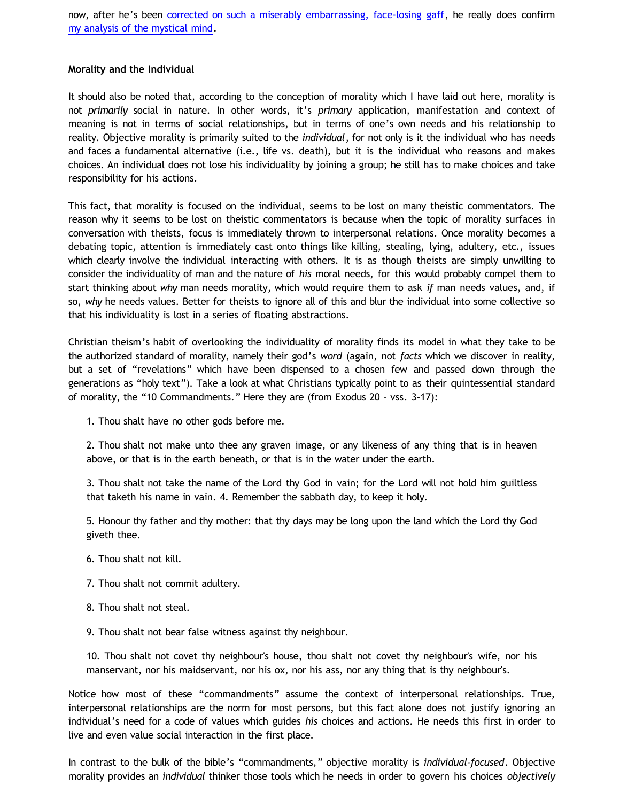now, after he's been [corrected on such a miserably embarrassing, face-losing gaff,](http://katholon.com/Doofusman.htm) he really does confirm [my analysis of the mystical mind.](http://bahnsenburner.blogspot.com/2007/02/ominous-parallels-between.html)

# **Morality and the Individual**

It should also be noted that, according to the conception of morality which I have laid out here, morality is not *primarily* social in nature. In other words, it's *primary* application, manifestation and context of meaning is not in terms of social relationships, but in terms of one's own needs and his relationship to reality. Objective morality is primarily suited to the *individual*, for not only is it the individual who has needs and faces a fundamental alternative (i.e., life vs. death), but it is the individual who reasons and makes choices. An individual does not lose his individuality by joining a group; he still has to make choices and take responsibility for his actions.

This fact, that morality is focused on the individual, seems to be lost on many theistic commentators. The reason why it seems to be lost on theistic commentators is because when the topic of morality surfaces in conversation with theists, focus is immediately thrown to interpersonal relations. Once morality becomes a debating topic, attention is immediately cast onto things like killing, stealing, lying, adultery, etc., issues which clearly involve the individual interacting with others. It is as though theists are simply unwilling to consider the individuality of man and the nature of *his* moral needs, for this would probably compel them to start thinking about *why* man needs morality, which would require them to ask *if* man needs values, and, if so, *why* he needs values. Better for theists to ignore all of this and blur the individual into some collective so that his individuality is lost in a series of floating abstractions.

Christian theism's habit of overlooking the individuality of morality finds its model in what they take to be the authorized standard of morality, namely their god's *word* (again, not *facts* which we discover in reality, but a set of "revelations" which have been dispensed to a chosen few and passed down through the generations as "holy text"). Take a look at what Christians typically point to as their quintessential standard of morality, the "10 Commandments." Here they are (from Exodus 20 – vss. 3-17):

1. Thou shalt have no other gods before me.

2. Thou shalt not make unto thee any graven image, or any likeness of any thing that is in heaven above, or that is in the earth beneath, or that is in the water under the earth.

3. Thou shalt not take the name of the Lord thy God in vain; for the Lord will not hold him guiltless that taketh his name in vain. 4. Remember the sabbath day, to keep it holy.

5. Honour thy father and thy mother: that thy days may be long upon the land which the Lord thy God giveth thee.

- 6. Thou shalt not kill.
- 7. Thou shalt not commit adultery.
- 8. Thou shalt not steal.
- 9. Thou shalt not bear false witness against thy neighbour.

10. Thou shalt not covet thy neighbour's house, thou shalt not covet thy neighbour's wife, nor his manservant, nor his maidservant, nor his ox, nor his ass, nor any thing that is thy neighbour's.

Notice how most of these "commandments" assume the context of interpersonal relationships. True, interpersonal relationships are the norm for most persons, but this fact alone does not justify ignoring an individual's need for a code of values which guides *his* choices and actions. He needs this first in order to live and even value social interaction in the first place.

In contrast to the bulk of the bible's "commandments," objective morality is *individual-focused*. Objective morality provides an *individual* thinker those tools which he needs in order to govern his choices *objectively*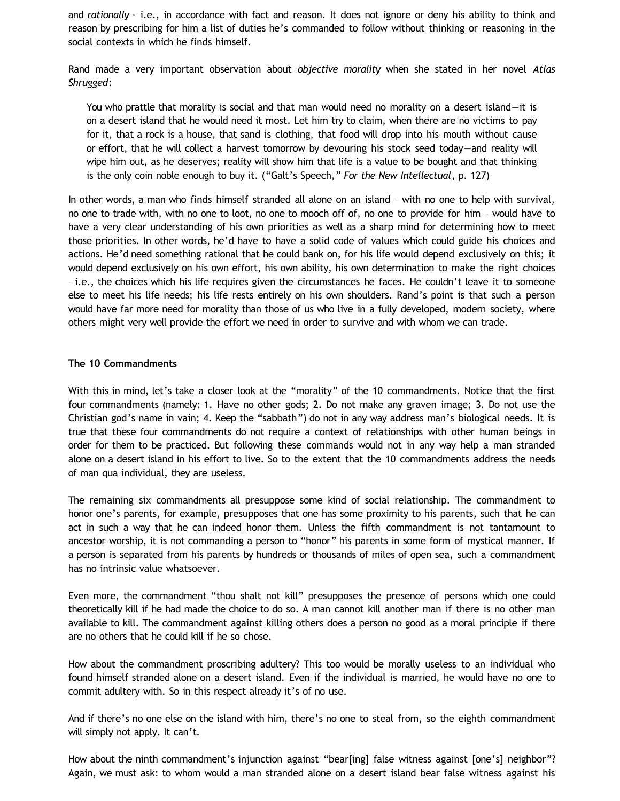and *rationally* - i.e., in accordance with fact and reason. It does not ignore or deny his ability to think and reason by prescribing for him a list of duties he's commanded to follow without thinking or reasoning in the social contexts in which he finds himself.

Rand made a very important observation about *objective morality* when she stated in her novel *Atlas Shrugged*:

You who prattle that morality is social and that man would need no morality on a desert island—it is on a desert island that he would need it most. Let him try to claim, when there are no victims to pay for it, that a rock is a house, that sand is clothing, that food will drop into his mouth without cause or effort, that he will collect a harvest tomorrow by devouring his stock seed today—and reality will wipe him out, as he deserves; reality will show him that life is a value to be bought and that thinking is the only coin noble enough to buy it. ("Galt's Speech," *For the New Intellectual*, p. 127)

In other words, a man who finds himself stranded all alone on an island – with no one to help with survival, no one to trade with, with no one to loot, no one to mooch off of, no one to provide for him – would have to have a very clear understanding of his own priorities as well as a sharp mind for determining how to meet those priorities. In other words, he'd have to have a solid code of values which could guide his choices and actions. He'd need something rational that he could bank on, for his life would depend exclusively on this; it would depend exclusively on his own effort, his own ability, his own determination to make the right choices – i.e., the choices which his life requires given the circumstances he faces. He couldn't leave it to someone else to meet his life needs; his life rests entirely on his own shoulders. Rand's point is that such a person would have far more need for morality than those of us who live in a fully developed, modern society, where others might very well provide the effort we need in order to survive and with whom we can trade.

# **The 10 Commandments**

With this in mind, let's take a closer look at the "morality" of the 10 commandments. Notice that the first four commandments (namely: 1. Have no other gods; 2. Do not make any graven image; 3. Do not use the Christian god's name in vain; 4. Keep the "sabbath") do not in any way address man's biological needs. It is true that these four commandments do not require a context of relationships with other human beings in order for them to be practiced. But following these commands would not in any way help a man stranded alone on a desert island in his effort to live. So to the extent that the 10 commandments address the needs of man qua individual, they are useless.

The remaining six commandments all presuppose some kind of social relationship. The commandment to honor one's parents, for example, presupposes that one has some proximity to his parents, such that he can act in such a way that he can indeed honor them. Unless the fifth commandment is not tantamount to ancestor worship, it is not commanding a person to "honor" his parents in some form of mystical manner. If a person is separated from his parents by hundreds or thousands of miles of open sea, such a commandment has no intrinsic value whatsoever.

Even more, the commandment "thou shalt not kill" presupposes the presence of persons which one could theoretically kill if he had made the choice to do so. A man cannot kill another man if there is no other man available to kill. The commandment against killing others does a person no good as a moral principle if there are no others that he could kill if he so chose.

How about the commandment proscribing adultery? This too would be morally useless to an individual who found himself stranded alone on a desert island. Even if the individual is married, he would have no one to commit adultery with. So in this respect already it's of no use.

And if there's no one else on the island with him, there's no one to steal from, so the eighth commandment will simply not apply. It can't.

How about the ninth commandment's injunction against "bear[ing] false witness against [one's] neighbor"? Again, we must ask: to whom would a man stranded alone on a desert island bear false witness against his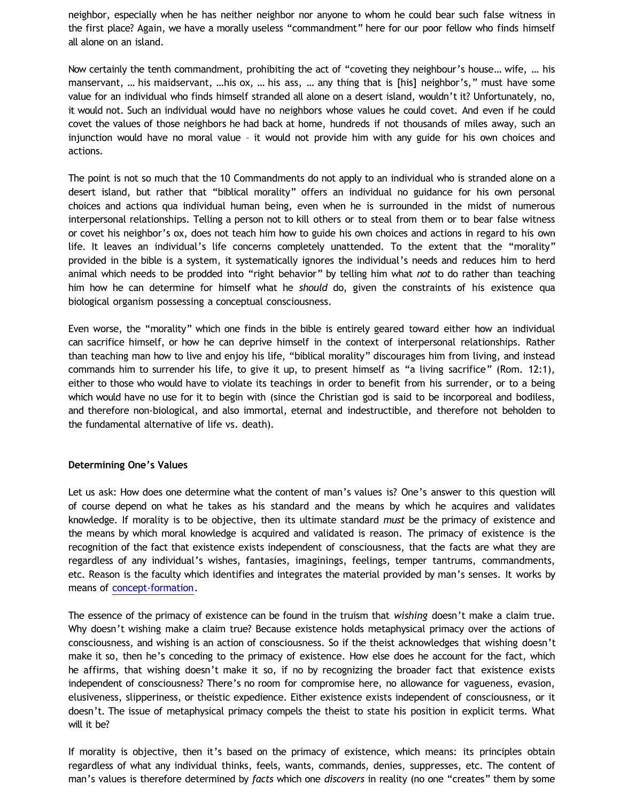neighbor, especially when he has neither neighbor nor anyone to whom he could bear such false witness in the first place? Again, we have a morally useless "commandment" here for our poor fellow who finds himself all alone on an island.

Now certainly the tenth commandment, prohibiting the act of "coveting they neighbour's house… wife, … his manservant, ... his maidservant, ...his ox, ... his ass, ... any thing that is [his] neighbor's," must have some value for an individual who finds himself stranded all alone on a desert island, wouldn't it? Unfortunately, no, it would not. Such an individual would have no neighbors whose values he could covet. And even if he could covet the values of those neighbors he had back at home, hundreds if not thousands of miles away, such an injunction would have no moral value – it would not provide him with any guide for his own choices and actions.

The point is not so much that the 10 Commandments do not apply to an individual who is stranded alone on a desert island, but rather that "biblical morality" offers an individual no guidance for his own personal choices and actions qua individual human being, even when he is surrounded in the midst of numerous interpersonal relationships. Telling a person not to kill others or to steal from them or to bear false witness or covet his neighbor's ox, does not teach him how to guide his own choices and actions in regard to his own life. It leaves an individual's life concerns completely unattended. To the extent that the "morality" provided in the bible is a system, it systematically ignores the individual's needs and reduces him to herd animal which needs to be prodded into "right behavior" by telling him what *not* to do rather than teaching him how he can determine for himself what he *should* do, given the constraints of his existence qua biological organism possessing a conceptual consciousness.

Even worse, the "morality" which one finds in the bible is entirely geared toward either how an individual can sacrifice himself, or how he can deprive himself in the context of interpersonal relationships. Rather than teaching man how to live and enjoy his life, "biblical morality" discourages him from living, and instead commands him to surrender his life, to give it up, to present himself as "a living sacrifice" (Rom. 12:1), either to those who would have to violate its teachings in order to benefit from his surrender, or to a being which would have no use for it to begin with (since the Christian god is said to be incorporeal and bodiless, and therefore non-biological, and also immortal, eternal and indestructible, and therefore not beholden to the fundamental alternative of life vs. death).

### **Determining One's Values**

Let us ask: How does one determine what the content of man's values is? One's answer to this question will of course depend on what he takes as his standard and the means by which he acquires and validates knowledge. If morality is to be objective, then its ultimate standard *must* be the primacy of existence and the means by which moral knowledge is acquired and validated is reason. The primacy of existence is the recognition of the fact that existence exists independent of consciousness, that the facts are what they are regardless of any individual's wishes, fantasies, imaginings, feelings, temper tantrums, commandments, etc. Reason is the faculty which identifies and integrates the material provided by man's senses. It works by means of [concept-formation](http://bahnsenburner.blogspot.com/2012/04/answering-dustin-segers_08.html).

The essence of the primacy of existence can be found in the truism that *wishing* doesn't make a claim true. Why doesn't wishing make a claim true? Because existence holds metaphysical primacy over the actions of consciousness, and wishing is an action of consciousness. So if the theist acknowledges that wishing doesn't make it so, then he's conceding to the primacy of existence. How else does he account for the fact, which he affirms, that wishing doesn't make it so, if no by recognizing the broader fact that existence exists independent of consciousness? There's no room for compromise here, no allowance for vagueness, evasion, elusiveness, slipperiness, or theistic expedience. Either existence exists independent of consciousness, or it doesn't. The issue of metaphysical primacy compels the theist to state his position in explicit terms. What will it be?

If morality is objective, then it's based on the primacy of existence, which means: its principles obtain regardless of what any individual thinks, feels, wants, commands, denies, suppresses, etc. The content of man's values is therefore determined by *facts* which one *discovers* in reality (no one "creates" them by some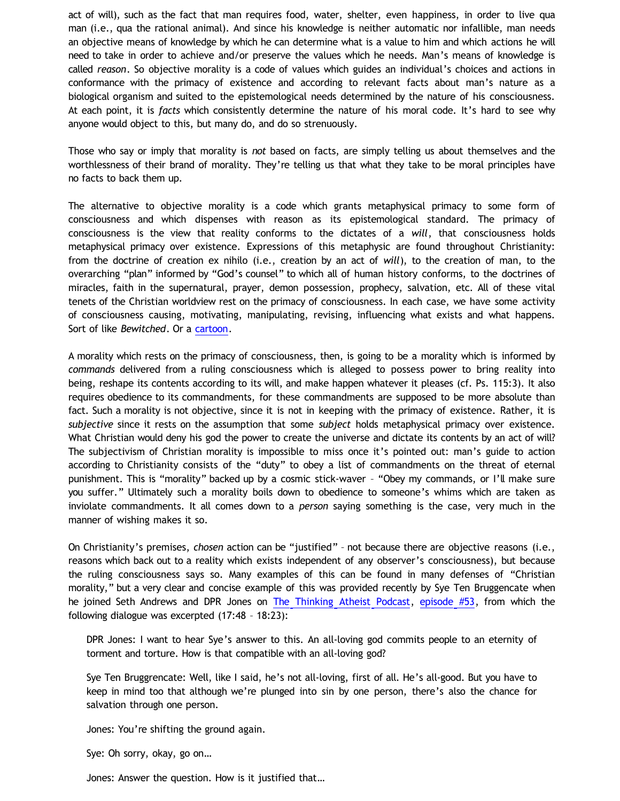act of will), such as the fact that man requires food, water, shelter, even happiness, in order to live qua man (i.e., qua the rational animal). And since his knowledge is neither automatic nor infallible, man needs an objective means of knowledge by which he can determine what is a value to him and which actions he will need to take in order to achieve and/or preserve the values which he needs. Man's means of knowledge is called *reason*. So objective morality is a code of values which guides an individual's choices and actions in conformance with the primacy of existence and according to relevant facts about man's nature as a biological organism and suited to the epistemological needs determined by the nature of his consciousness. At each point, it is *facts* which consistently determine the nature of his moral code. It's hard to see why anyone would object to this, but many do, and do so strenuously.

Those who say or imply that morality is *not* based on facts, are simply telling us about themselves and the worthlessness of their brand of morality. They're telling us that what they take to be moral principles have no facts to back them up.

The alternative to objective morality is a code which grants metaphysical primacy to some form of consciousness and which dispenses with reason as its epistemological standard. The primacy of consciousness is the view that reality conforms to the dictates of a *will*, that consciousness holds metaphysical primacy over existence. Expressions of this metaphysic are found throughout Christianity: from the doctrine of creation ex nihilo (i.e., creation by an act of *will*), to the creation of man, to the overarching "plan" informed by "God's counsel" to which all of human history conforms, to the doctrines of miracles, faith in the supernatural, prayer, demon possession, prophecy, salvation, etc. All of these vital tenets of the Christian worldview rest on the primacy of consciousness. In each case, we have some activity of consciousness causing, motivating, manipulating, revising, influencing what exists and what happens. Sort of like *Bewitched*. Or a [cartoon.](http://katholon.com/Cartoon_Universe_of_Christianity.htm)

A morality which rests on the primacy of consciousness, then, is going to be a morality which is informed by *commands* delivered from a ruling consciousness which is alleged to possess power to bring reality into being, reshape its contents according to its will, and make happen whatever it pleases (cf. Ps. 115:3). It also requires obedience to its commandments, for these commandments are supposed to be more absolute than fact. Such a morality is not objective, since it is not in keeping with the primacy of existence. Rather, it is *subjective* since it rests on the assumption that some *subject* holds metaphysical primacy over existence. What Christian would deny his god the power to create the universe and dictate its contents by an act of will? The subjectivism of Christian morality is impossible to miss once it's pointed out: man's guide to action according to Christianity consists of the "duty" to obey a list of commandments on the threat of eternal punishment. This is "morality" backed up by a cosmic stick-waver – "Obey my commands, or I'll make sure you suffer." Ultimately such a morality boils down to obedience to someone's whims which are taken as inviolate commandments. It all comes down to a *person* saying something is the case, very much in the manner of wishing makes it so.

On Christianity's premises, *chosen* action can be "justified" – not because there are objective reasons (i.e., reasons which back out to a reality which exists independent of any observer's consciousness), but because the ruling consciousness says so. Many examples of this can be found in many defenses of "Christian morality," but a very clear and concise example of this was provided recently by Sye Ten Bruggencate when he joined Seth Andrews and DPR Jones on [The Thinking Atheist Podcast,](http://www.blogtalkradio.com/thethinkingatheist) [episode #53,](http://www.blogtalkradio.com/thethinkingatheist/2012/04/14/proof-that-god-exists) from which the following dialogue was excerpted (17:48 – 18:23):

DPR Jones: I want to hear Sye's answer to this. An all-loving god commits people to an eternity of torment and torture. How is that compatible with an all-loving god?

Sye Ten Bruggrencate: Well, like I said, he's not all-loving, first of all. He's all-good. But you have to keep in mind too that although we're plunged into sin by one person, there's also the chance for salvation through one person.

Jones: You're shifting the ground again.

Sye: Oh sorry, okay, go on…

Jones: Answer the question. How is it justified that…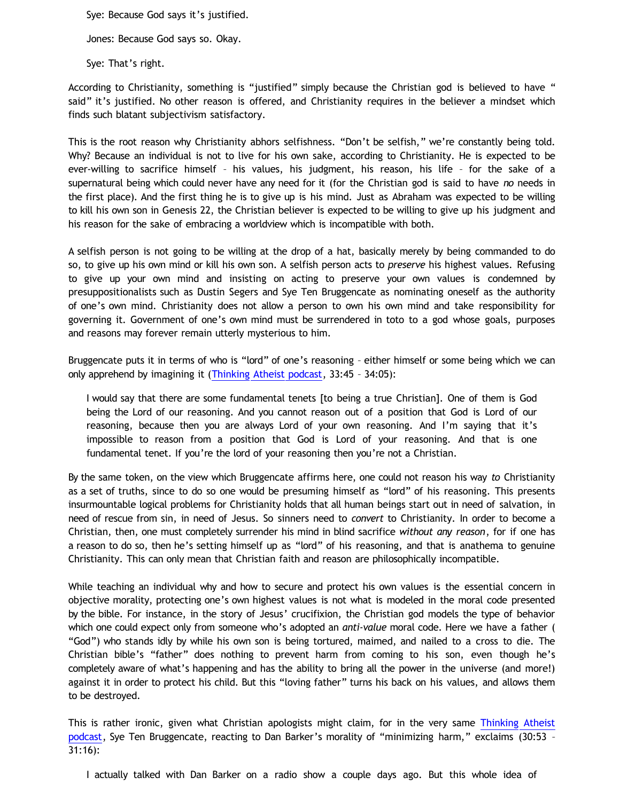Sye: Because God says it's justified.

Jones: Because God says so. Okay.

Sye: That's right.

According to Christianity, something is "justified" simply because the Christian god is believed to have " said" it's justified. No other reason is offered, and Christianity requires in the believer a mindset which finds such blatant subjectivism satisfactory.

This is the root reason why Christianity abhors selfishness. "Don't be selfish," we're constantly being told. Why? Because an individual is not to live for his own sake, according to Christianity. He is expected to be ever-willing to sacrifice himself – his values, his judgment, his reason, his life – for the sake of a supernatural being which could never have any need for it (for the Christian god is said to have *no* needs in the first place). And the first thing he is to give up is his mind. Just as Abraham was expected to be willing to kill his own son in Genesis 22, the Christian believer is expected to be willing to give up his judgment and his reason for the sake of embracing a worldview which is incompatible with both.

A selfish person is not going to be willing at the drop of a hat, basically merely by being commanded to do so, to give up his own mind or kill his own son. A selfish person acts to *preserve* his highest values. Refusing to give up your own mind and insisting on acting to preserve your own values is condemned by presuppositionalists such as Dustin Segers and Sye Ten Bruggencate as nominating oneself as the authority of one's own mind. Christianity does not allow a person to own his own mind and take responsibility for governing it. Government of one's own mind must be surrendered in toto to a god whose goals, purposes and reasons may forever remain utterly mysterious to him.

Bruggencate puts it in terms of who is "lord" of one's reasoning - either himself or some being which we can only apprehend by imagining it ([Thinking Atheist podcast,](http://www.blogtalkradio.com/thethinkingatheist/2012/04/14/proof-that-god-exists) 33:45 – 34:05):

I would say that there are some fundamental tenets [to being a true Christian]. One of them is God being the Lord of our reasoning. And you cannot reason out of a position that God is Lord of our reasoning, because then you are always Lord of your own reasoning. And I'm saying that it's impossible to reason from a position that God is Lord of your reasoning. And that is one fundamental tenet. If you're the lord of your reasoning then you're not a Christian.

By the same token, on the view which Bruggencate affirms here, one could not reason his way *to* Christianity as a set of truths, since to do so one would be presuming himself as "lord" of his reasoning. This presents insurmountable logical problems for Christianity holds that all human beings start out in need of salvation, in need of rescue from sin, in need of Jesus. So sinners need to *convert* to Christianity. In order to become a Christian, then, one must completely surrender his mind in blind sacrifice *without any reason*, for if one has a reason to do so, then he's setting himself up as "lord" of his reasoning, and that is anathema to genuine Christianity. This can only mean that Christian faith and reason are philosophically incompatible.

While teaching an individual why and how to secure and protect his own values is the essential concern in objective morality, protecting one's own highest values is not what is modeled in the moral code presented by the bible. For instance, in the story of Jesus' crucifixion, the Christian god models the type of behavior which one could expect only from someone who's adopted an *anti-value* moral code. Here we have a father ( "God") who stands idly by while his own son is being tortured, maimed, and nailed to a cross to die. The Christian bible's "father" does nothing to prevent harm from coming to his son, even though he's completely aware of what's happening and has the ability to bring all the power in the universe (and more!) against it in order to protect his child. But this "loving father" turns his back on his values, and allows them to be destroyed.

This is rather ironic, given what Christian apologists might claim, for in the very same [Thinking Atheist](http://www.blogger.com/) [podcast](http://www.blogger.com/), Sye Ten Bruggencate, reacting to Dan Barker's morality of "minimizing harm," exclaims (30:53 – 31:16):

I actually talked with Dan Barker on a radio show a couple days ago. But this whole idea of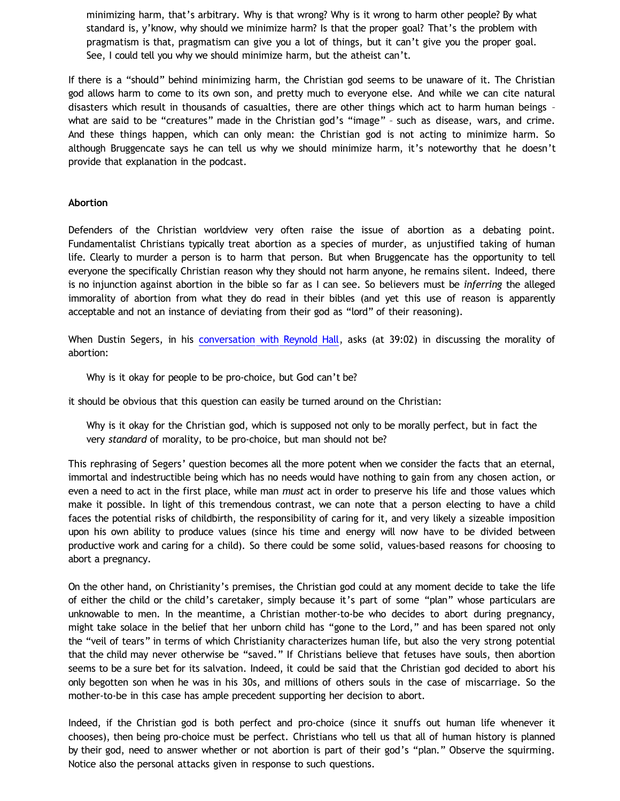minimizing harm, that's arbitrary. Why is that wrong? Why is it wrong to harm other people? By what standard is, y'know, why should we minimize harm? Is that the proper goal? That's the problem with pragmatism is that, pragmatism can give you a lot of things, but it can't give you the proper goal. See, I could tell you why we should minimize harm, but the atheist can't.

If there is a "should" behind minimizing harm, the Christian god seems to be unaware of it. The Christian god allows harm to come to its own son, and pretty much to everyone else. And while we can cite natural disasters which result in thousands of casualties, there are other things which act to harm human beings – what are said to be "creatures" made in the Christian god's "image" – such as disease, wars, and crime. And these things happen, which can only mean: the Christian god is not acting to minimize harm. So although Bruggencate says he can tell us why we should minimize harm, it's noteworthy that he doesn't provide that explanation in the podcast.

# **Abortion**

Defenders of the Christian worldview very often raise the issue of abortion as a debating point. Fundamentalist Christians typically treat abortion as a species of murder, as unjustified taking of human life. Clearly to murder a person is to harm that person. But when Bruggencate has the opportunity to tell everyone the specifically Christian reason why they should not harm anyone, he remains silent. Indeed, there is no injunction against abortion in the bible so far as I can see. So believers must be *inferring* the alleged immorality of abortion from what they do read in their bibles (and yet this use of reason is apparently acceptable and not an instance of deviating from their god as "lord" of their reasoning).

When Dustin Segers, in his [conversation with Reynold Hall](http://fundamentally-flawed.com/pods/?p=episode&name=2011-11-12_dustinsegersandreynoldhall.mp3), asks (at 39:02) in discussing the morality of abortion:

Why is it okay for people to be pro-choice, but God can't be?

it should be obvious that this question can easily be turned around on the Christian:

Why is it okay for the Christian god, which is supposed not only to be morally perfect, but in fact the very *standard* of morality, to be pro-choice, but man should not be?

This rephrasing of Segers' question becomes all the more potent when we consider the facts that an eternal, immortal and indestructible being which has no needs would have nothing to gain from any chosen action, or even a need to act in the first place, while man *must* act in order to preserve his life and those values which make it possible. In light of this tremendous contrast, we can note that a person electing to have a child faces the potential risks of childbirth, the responsibility of caring for it, and very likely a sizeable imposition upon his own ability to produce values (since his time and energy will now have to be divided between productive work and caring for a child). So there could be some solid, values-based reasons for choosing to abort a pregnancy.

On the other hand, on Christianity's premises, the Christian god could at any moment decide to take the life of either the child or the child's caretaker, simply because it's part of some "plan" whose particulars are unknowable to men. In the meantime, a Christian mother-to-be who decides to abort during pregnancy, might take solace in the belief that her unborn child has "gone to the Lord," and has been spared not only the "veil of tears" in terms of which Christianity characterizes human life, but also the very strong potential that the child may never otherwise be "saved." If Christians believe that fetuses have souls, then abortion seems to be a sure bet for its salvation. Indeed, it could be said that the Christian god decided to abort his only begotten son when he was in his 30s, and millions of others souls in the case of miscarriage. So the mother-to-be in this case has ample precedent supporting her decision to abort.

Indeed, if the Christian god is both perfect and pro-choice (since it snuffs out human life whenever it chooses), then being pro-choice must be perfect. Christians who tell us that all of human history is planned by their god, need to answer whether or not abortion is part of their god's "plan." Observe the squirming. Notice also the personal attacks given in response to such questions.